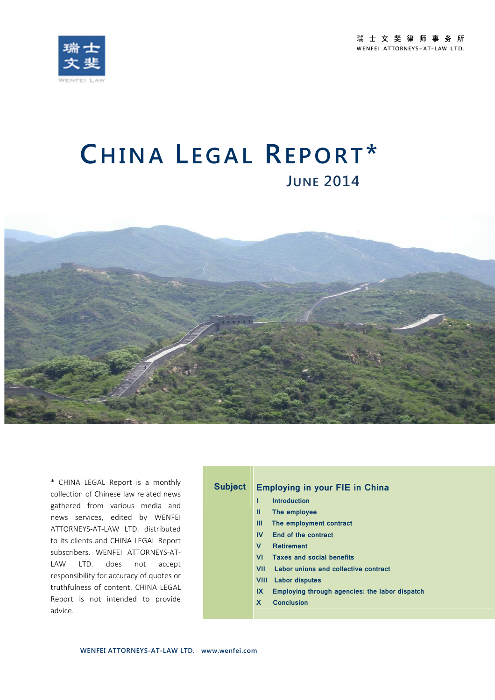



# **CHINA LEGAL REPORT\* <sup>J</sup>UNE <sup>2014</sup>**



\* CHINA LEGAL Report is a monthly collection of Chinese law related news gathered from various media and news services, edited by WENFEI ATTORNEYS-AT-LAW LTD. distributed to its clients and CHINA LEGAL Report subscribers. WENFEI ATTORNEYS-AT-LAW LTD. does not accept responsibility for accuracy of quotes or truthfulness of content. CHINA LEGAL Report is not intended to provide advice.

## **Subject Employing in your FIE in China**

- **I Introduction**
- **II The employee**
- **III The employment contract**
- **IV End of the contract**
- **V Retirement**
- **VI Taxes and social benefits**
- **VII Labor unions and collective contract**
- **VIII Labor disputes**
- **IX Employing through agencies: the labor dispatch**
- **X Conclusion**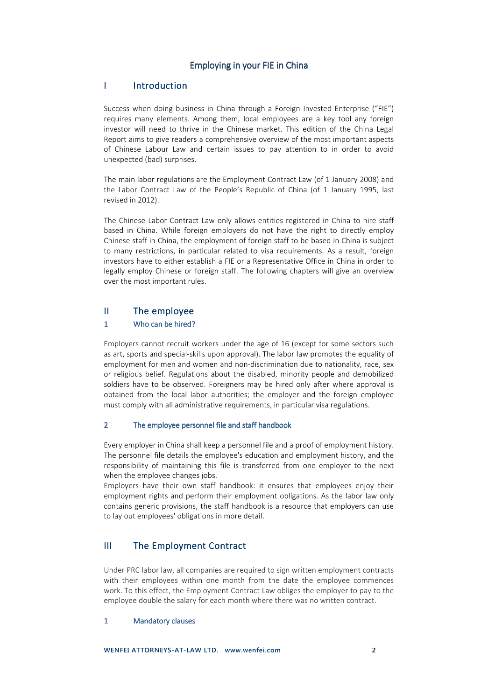#### Employing in your FIE in China

#### I Introduction

Success when doing business in China through a Foreign Invested Enterprise ("FIE") requires many elements. Among them, local employees are a key tool any foreign investor will need to thrive in the Chinese market. This edition of the China Legal Report aims to give readers a comprehensive overview of the most important aspects of Chinese Labour Law and certain issues to pay attention to in order to avoid unexpected (bad) surprises.

The main labor regulations are the Employment Contract Law (of 1 January 2008) and the Labor Contract Law of the People's Republic of China (of 1 January 1995, last revised in 2012).

The Chinese Labor Contract Law only allows entities registered in China to hire staff based in China. While foreign employers do not have the right to directly employ Chinese staff in China, the employment of foreign staff to be based in China is subject to many restrictions, in particular related to visa requirements. As a result, foreign investors have to either establish a FIE or a Representative Office in China in order to legally employ Chinese or foreign staff. The following chapters will give an overview over the most important rules.

#### II The employee

#### 1 Who can be hired?

Employers cannot recruit workers under the age of 16 (except for some sectors such as art, sports and special-skills upon approval). The labor law promotes the equality of employment for men and women and non-discrimination due to nationality, race, sex or religious belief. Regulations about the disabled, minority people and demobilized soldiers have to be observed. Foreigners may be hired only after where approval is obtained from the local labor authorities; the employer and the foreign employee must comply with all administrative requirements, in particular visa regulations.

#### 2 The employee personnel file and staff handbook

Every employer in China shall keep a personnel file and a proof of employment history. The personnel file details the employee's education and employment history, and the responsibility of maintaining this file is transferred from one employer to the next when the employee changes jobs.

Employers have their own staff handbook: it ensures that employees enjoy their employment rights and perform their employment obligations. As the labor law only contains generic provisions, the staff handbook is a resource that employers can use to lay out employees' obligations in more detail.

## III The Employment Contract Contract

Under PRC labor law, all companies are required to sign written employment contracts with their employees within one month from the date the employee commences work. To this effect, the Employment Contract Law obliges the employer to pay to the employee double the salary for each month where there was no written contract.

#### 1 Mandatory clauses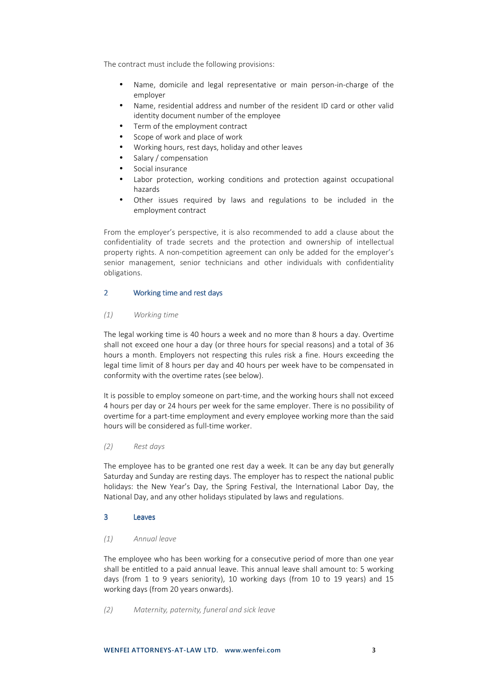The contract must include the following provisions:

- Name, domicile and legal representative or main person-in-charge of the employer
- Name, residential address and number of the resident ID card or other valid identity document number of the employee
- Term of the employment contract
- Scope of work and place of work
- Working hours, rest days, holiday and other leaves
- Salary / compensation
- Social insurance
- Labor protection, working conditions and protection against occupational hazards
- Other issues required by laws and regulations to be included in the employment contract

From the employer's perspective, it is also recommended to add a clause about the confidentiality of trade secrets and the protection and ownership of intellectual property rights. A non-competition agreement can only be added for the employer's senior management, senior technicians and other individuals with confidentiality obligations.

#### 2 Working time and rest days

#### *(1) Working time*

The legal working time is 40 hours a week and no more than 8 hours a day. Overtime shall not exceed one hour a day (or three hours for special reasons) and a total of 36 hours a month. Employers not respecting this rules risk a fine. Hours exceeding the legal time limit of 8 hours per day and 40 hours per week have to be compensated in conformity with the overtime rates (see below).

It is possible to employ someone on part-time, and the working hours shall not exceed 4 hours per day or 24 hours per week for the same employer. There is no possibility of overtime for a part-time employment and every employee working more than the said hours will be considered as full-time worker.

#### *(2) Rest days*

The employee has to be granted one rest day a week. It can be any day but generally Saturday and Sunday are resting days. The employer has to respect the national public holidays: the New Year's Day, the Spring Festival, the International Labor Day, the National Day, and any other holidays stipulated by laws and regulations.

#### 3 Leaves

#### *(1) Annual leave*

The employee who has been working for a consecutive period of more than one year shall be entitled to a paid annual leave. This annual leave shall amount to: 5 working days (from 1 to 9 years seniority), 10 working days (from 10 to 19 years) and 15 working days (from 20 years onwards).

*(2) Maternity, paternity, funeral and sick leave*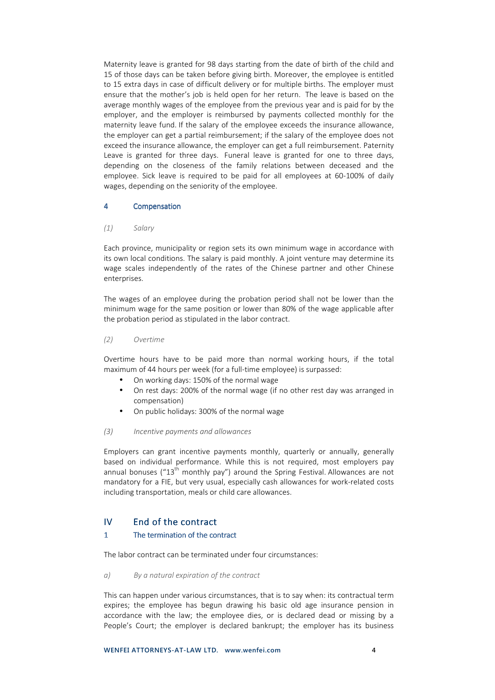Maternity leave is granted for 98 days starting from the date of birth of the child and 15 of those days can be taken before giving birth. Moreover, the employee is entitled to 15 extra days in case of difficult delivery or for multiple births. The employer must ensure that the mother's job is held open for her return. The leave is based on the average monthly wages of the employee from the previous year and is paid for by the employer, and the employer is reimbursed by payments collected monthly for the maternity leave fund. If the salary of the employee exceeds the insurance allowance, the employer can get a partial reimbursement; if the salary of the employee does not exceed the insurance allowance, the employer can get a full reimbursement. Paternity Leave is granted for three days. Funeral leave is granted for one to three days, depending on the closeness of the family relations between deceased and the employee. Sick leave is required to be paid for all employees at 60-100% of daily wages, depending on the seniority of the employee.

#### 4 Compensation

#### *(1) Salary*

Each province, municipality or region sets its own minimum wage in accordance with its own local conditions. The salary is paid monthly. A joint venture may determine its wage scales independently of the rates of the Chinese partner and other Chinese enterprises.

The wages of an employee during the probation period shall not be lower than the minimum wage for the same position or lower than 80% of the wage applicable after the probation period as stipulated in the labor contract.

#### *(2) Overtime*

Overtime hours have to be paid more than normal working hours, if the total maximum of 44 hours per week (for a full-time employee) is surpassed:

- On working days: 150% of the normal wage
- On rest days: 200% of the normal wage (if no other rest day was arranged in compensation)
- On public holidays: 300% of the normal wage

#### *(3) Incentive payments and allowances*

Employers can grant incentive payments monthly, quarterly or annually, generally based on individual performance. While this is not required, most employers pay annual bonuses (" $13<sup>th</sup>$  monthly pay") around the Spring Festival. Allowances are not mandatory for a FIE, but very usual, especially cash allowances for work-related costs including transportation, meals or child care allowances.

## $IV$  End of the contract

#### 1 The termination of the contract

The labor contract can be terminated under four circumstances:

*a) By a natural expiration of the contract* 

This can happen under various circumstances, that is to say when: its contractual term expires; the employee has begun drawing his basic old age insurance pension in accordance with the law; the employee dies, or is declared dead or missing by a People's Court; the employer is declared bankrupt; the employer has its business

**WENFEI ATTORNEYS-AT-LAW LTD. www.wenfei.com 4**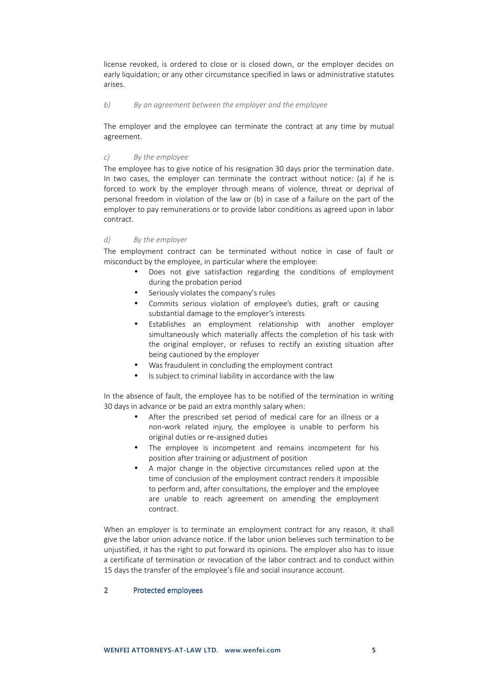license revoked, is ordered to close or is closed down, or the employer decides on early liquidation; or any other circumstance specified in laws or administrative statutes arises.

#### *b) By an agreement between the employer and the employee*

The employer and the employee can terminate the contract at any time by mutual agreement.

#### *c) By the employee*

The employee has to give notice of his resignation 30 days prior the termination date. In two cases, the employer can terminate the contract without notice: (a) if he is forced to work by the employer through means of violence, threat or deprival of personal freedom in violation of the law or (b) in case of a failure on the part of the employer to pay remunerations or to provide labor conditions as agreed upon in labor contract.

#### *d) By the employer*

The employment contract can be terminated without notice in case of fault or misconduct by the employee, in particular where the employee:

- Does not give satisfaction regarding the conditions of employment during the probation period
- Seriously violates the company's rules
- Commits serious violation of employee's duties, graft or causing substantial damage to the employer's interests
- Establishes an employment relationship with another employer simultaneously which materially affects the completion of his task with the original employer, or refuses to rectify an existing situation after being cautioned by the employer
- Was fraudulent in concluding the employment contract
- Is subject to criminal liability in accordance with the law

In the absence of fault, the employee has to be notified of the termination in writing 30 days in advance or be paid an extra monthly salary when:

- After the prescribed set period of medical care for an illness or a non-work related injury, the employee is unable to perform his original duties or re-assigned duties
- The employee is incompetent and remains incompetent for his position after training or adjustment of position
- A major change in the objective circumstances relied upon at the time of conclusion of the employment contract renders it impossible to perform and, after consultations, the employer and the employee are unable to reach agreement on amending the employment contract.

When an employer is to terminate an employment contract for any reason, it shall give the labor union advance notice. If the labor union believes such termination to be unjustified, it has the right to put forward its opinions. The employer also has to issue a certificate of termination or revocation of the labor contract and to conduct within 15 days the transfer of the employee's file and social insurance account.

#### 2 Protected employees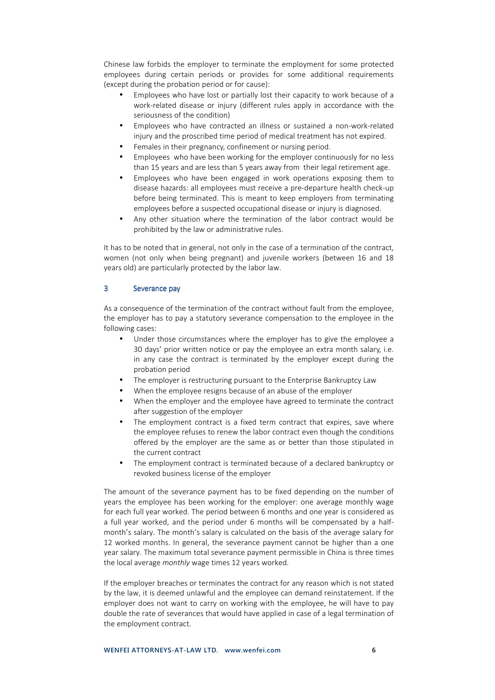Chinese law forbids the employer to terminate the employment for some protected employees during certain periods or provides for some additional requirements (except during the probation period or for cause):

- Employees who have lost or partially lost their capacity to work because of a work-related disease or injury (different rules apply in accordance with the seriousness of the condition)
- Employees who have contracted an illness or sustained a non-work-related injury and the proscribed time period of medical treatment has not expired.
- Females in their pregnancy, confinement or nursing period.
- Employees who have been working for the employer continuously for no less than 15 years and are less than 5 years away from their legal retirement age.
- Employees who have been engaged in work operations exposing them to disease hazards: all employees must receive a pre-departure health check-up before being terminated. This is meant to keep employers from terminating employees before a suspected occupational disease or injury is diagnosed.
- Any other situation where the termination of the labor contract would be prohibited by the law or administrative rules.

It has to be noted that in general, not only in the case of a termination of the contract, women (not only when being pregnant) and juvenile workers (between 16 and 18 years old) are particularly protected by the labor law.

#### 3 Severance pay

As a consequence of the termination of the contract without fault from the employee, the employer has to pay a statutory severance compensation to the employee in the following cases:

- Under those circumstances where the employer has to give the employee a 30 days' prior written notice or pay the employee an extra month salary, i.e. in any case the contract is terminated by the employer except during the probation period
- The employer is restructuring pursuant to the Enterprise Bankruptcy Law
- When the employee resigns because of an abuse of the employer
- When the employer and the employee have agreed to terminate the contract after suggestion of the employer
- The employment contract is a fixed term contract that expires, save where the employee refuses to renew the labor contract even though the conditions offered by the employer are the same as or better than those stipulated in the current contract
- The employment contract is terminated because of a declared bankruptcy or revoked business license of the employer

The amount of the severance payment has to be fixed depending on the number of years the employee has been working for the employer: one average monthly wage for each full year worked. The period between 6 months and one year is considered as a full year worked, and the period under 6 months will be compensated by a halfmonth's salary. The month's salary is calculated on the basis of the average salary for 12 worked months. In general, the severance payment cannot be higher than a one year salary. The maximum total severance payment permissible in China is three times the local average *monthly* wage times 12 years worked.

If the employer breaches or terminates the contract for any reason which is not stated by the law, it is deemed unlawful and the employee can demand reinstatement. If the employer does not want to carry on working with the employee, he will have to pay double the rate of severances that would have applied in case of a legal termination of the employment contract.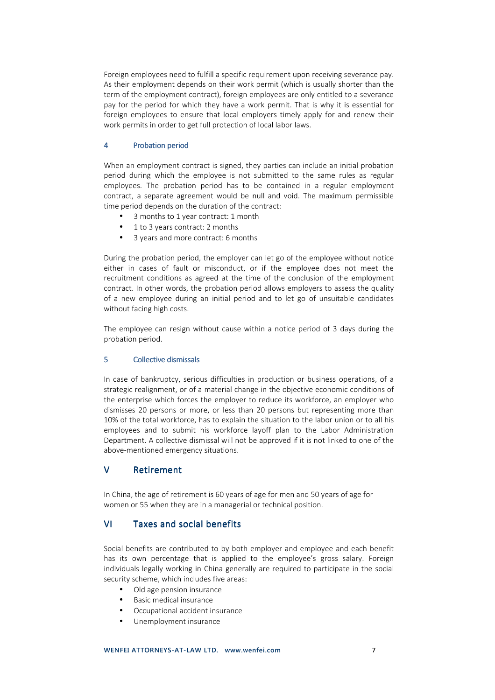Foreign employees need to fulfill a specific requirement upon receiving severance pay. As their employment depends on their work permit (which is usually shorter than the term of the employment contract), foreign employees are only entitled to a severance pay for the period for which they have a work permit. That is why it is essential for foreign employees to ensure that local employers timely apply for and renew their work permits in order to get full protection of local labor laws.

#### 4 Probation period

When an employment contract is signed, they parties can include an initial probation period during which the employee is not submitted to the same rules as regular employees. The probation period has to be contained in a regular employment contract, a separate agreement would be null and void. The maximum permissible time period depends on the duration of the contract:

- 3 months to 1 year contract: 1 month
- 1 to 3 years contract: 2 months
- 3 years and more contract: 6 months

During the probation period, the employer can let go of the employee without notice either in cases of fault or misconduct, or if the employee does not meet the recruitment conditions as agreed at the time of the conclusion of the employment contract. In other words, the probation period allows employers to assess the quality of a new employee during an initial period and to let go of unsuitable candidates without facing high costs.

The employee can resign without cause within a notice period of 3 days during the probation period.

#### 5 Collective dismissals

In case of bankruptcy, serious difficulties in production or business operations, of a strategic realignment, or of a material change in the objective economic conditions of the enterprise which forces the employer to reduce its workforce, an employer who dismisses 20 persons or more, or less than 20 persons but representing more than 10% of the total workforce, has to explain the situation to the labor union or to all his employees and to submit his workforce layoff plan to the Labor Administration Department. A collective dismissal will not be approved if it is not linked to one of the above-mentioned emergency situations.

## V Retirement

In China, the age of retirement is 60 years of age for men and 50 years of age for women or 55 when they are in a managerial or technical position.

## VI Taxes and social benefits

Social benefits are contributed to by both employer and employee and each benefit has its own percentage that is applied to the employee's gross salary. Foreign individuals legally working in China generally are required to participate in the social security scheme, which includes five areas:

- Old age pension insurance
- Basic medical insurance
- Occupational accident insurance
- Unemployment insurance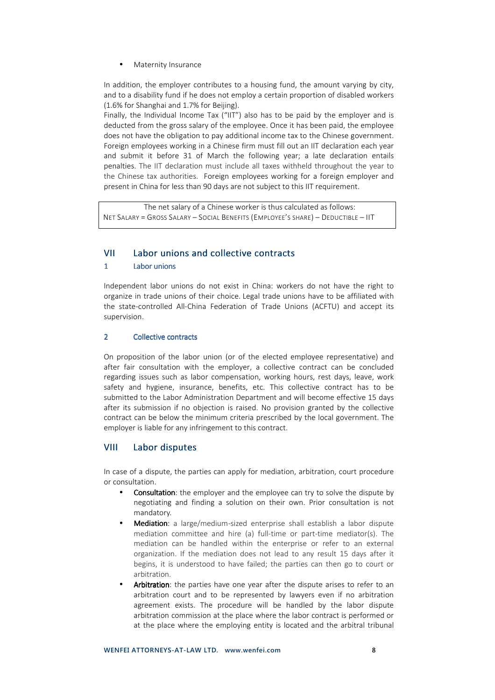• Maternity Insurance

In addition, the employer contributes to a housing fund, the amount varying by city, and to a disability fund if he does not employ a certain proportion of disabled workers (1.6% for Shanghai and 1.7% for Beijing).

Finally, the Individual Income Tax ("IIT") also has to be paid by the employer and is deducted from the gross salary of the employee. Once it has been paid, the employee does not have the obligation to pay additional income tax to the Chinese government. Foreign employees working in a Chinese firm must fill out an IIT declaration each year and submit it before 31 of March the following year; a late declaration entails penalties. The IIT declaration must include all taxes withheld throughout the year to the Chinese tax authorities. Foreign employees working for a foreign employer and present in China for less than 90 days are not subject to this IIT requirement.

The net salary of a Chinese worker is thus calculated as follows: NET SALARY = GROSS SALARY – SOCIAL BENEFITS (EMPLOYEE'S SHARE) – DEDUCTIBLE – IIT

## VII Labor unions and collective contracts

#### 1 Labor unions

Independent labor unions do not exist in China: workers do not have the right to organize in trade unions of their choice. Legal trade unions have to be affiliated with the state-controlled All-China Federation of Trade Unions (ACFTU) and accept its supervision.

#### 2 Collective contracts

On proposition of the labor union (or of the elected employee representative) and after fair consultation with the employer, a collective contract can be concluded regarding issues such as labor compensation, working hours, rest days, leave, work safety and hygiene, insurance, benefits, etc. This collective contract has to be submitted to the Labor Administration Department and will become effective 15 days after its submission if no objection is raised. No provision granted by the collective contract can be below the minimum criteria prescribed by the local government. The employer is liable for any infringement to this contract.

#### VIII Labor disputes

In case of a dispute, the parties can apply for mediation, arbitration, court procedure or consultation.

- **Consultation**: the employer and the employee can try to solve the dispute by negotiating and finding a solution on their own. Prior consultation is not mandatory.
- Mediation: a large/medium-sized enterprise shall establish a labor dispute mediation committee and hire (a) full-time or part-time mediator(s). The mediation can be handled within the enterprise or refer to an external organization. If the mediation does not lead to any result 15 days after it begins, it is understood to have failed; the parties can then go to court or arbitration.
- Arbitration: the parties have one year after the dispute arises to refer to an arbitration court and to be represented by lawyers even if no arbitration agreement exists. The procedure will be handled by the labor dispute arbitration commission at the place where the labor contract is performed or at the place where the employing entity is located and the arbitral tribunal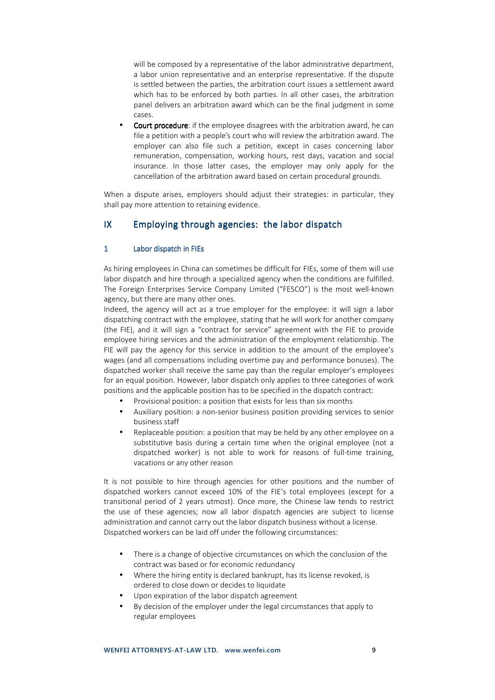will be composed by a representative of the labor administrative department, a labor union representative and an enterprise representative. If the dispute is settled between the parties, the arbitration court issues a settlement award which has to be enforced by both parties. In all other cases, the arbitration panel delivers an arbitration award which can be the final judgment in some cases.

**Court procedure**: if the employee disagrees with the arbitration award, he can file a petition with a people's court who will review the arbitration award. The employer can also file such a petition, except in cases concerning labor remuneration, compensation, working hours, rest days, vacation and social insurance. In those latter cases, the employer may only apply for the cancellation of the arbitration award based on certain procedural grounds.

When a dispute arises, employers should adjust their strategies: in particular, they shall pay more attention to retaining evidence.

## $IX$  Employing through agencies: the labor dispatch

#### 1 Labor dispatch in FIEs

As hiring employees in China can sometimes be difficult for FIEs, some of them will use labor dispatch and hire through a specialized agency when the conditions are fulfilled. The Foreign Enterprises Service Company Limited ("FESCO") is the most well-known agency, but there are many other ones.

Indeed, the agency will act as a true employer for the employee: it will sign a labor dispatching contract with the employee, stating that he will work for another company (the FIE), and it will sign a "contract for service" agreement with the FIE to provide employee hiring services and the administration of the employment relationship. The FIE will pay the agency for this service in addition to the amount of the employee's wages (and all compensations including overtime pay and performance bonuses). The dispatched worker shall receive the same pay than the regular employer's employees for an equal position. However, labor dispatch only applies to three categories of work positions and the applicable position has to be specified in the dispatch contract:

- Provisional position: a position that exists for less than six months
- Auxiliary position: a non-senior business position providing services to senior business staff
- Replaceable position: a position that may be held by any other employee on a substitutive basis during a certain time when the original employee (not a dispatched worker) is not able to work for reasons of full-time training, vacations or any other reason

It is not possible to hire through agencies for other positions and the number of dispatched workers cannot exceed 10% of the FIE's total employees (except for a transitional period of 2 years utmost). Once more, the Chinese law tends to restrict the use of these agencies; now all labor dispatch agencies are subject to license administration and cannot carry out the labor dispatch business without a license. Dispatched workers can be laid off under the following circumstances:

- There is a change of objective circumstances on which the conclusion of the contract was based or for economic redundancy
- Where the hiring entity is declared bankrupt, has its license revoked, is ordered to close down or decides to liquidate
- Upon expiration of the labor dispatch agreement
- By decision of the employer under the legal circumstances that apply to regular employees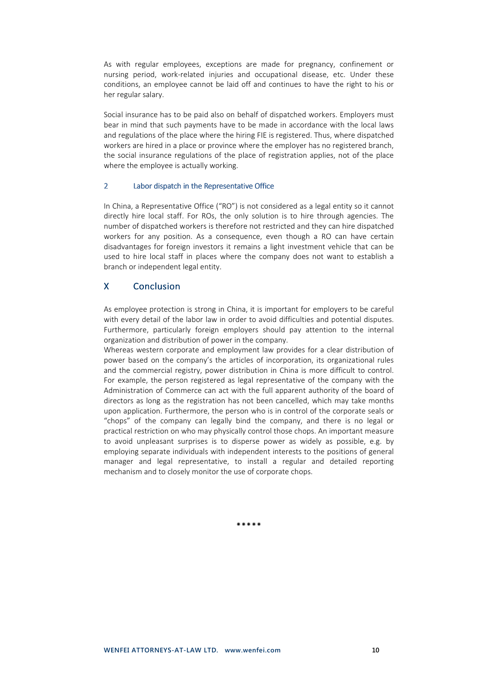As with regular employees, exceptions are made for pregnancy, confinement or nursing period, work-related injuries and occupational disease, etc. Under these conditions, an employee cannot be laid off and continues to have the right to his or her regular salary.

Social insurance has to be paid also on behalf of dispatched workers. Employers must bear in mind that such payments have to be made in accordance with the local laws and regulations of the place where the hiring FIE is registered. Thus, where dispatched workers are hired in a place or province where the employer has no registered branch, the social insurance regulations of the place of registration applies, not of the place where the employee is actually working.

#### 2 Labor dispatch in the Representative Office

In China, a Representative Office ("RO") is not considered as a legal entity so it cannot directly hire local staff. For ROs, the only solution is to hire through agencies. The number of dispatched workers is therefore not restricted and they can hire dispatched workers for any position. As a consequence, even though a RO can have certain disadvantages for foreign investors it remains a light investment vehicle that can be used to hire local staff in places where the company does not want to establish a branch or independent legal entity.

## X Conclusion

As employee protection is strong in China, it is important for employers to be careful with every detail of the labor law in order to avoid difficulties and potential disputes. Furthermore, particularly foreign employers should pay attention to the internal organization and distribution of power in the company.

Whereas western corporate and employment law provides for a clear distribution of power based on the company's the articles of incorporation, its organizational rules and the commercial registry, power distribution in China is more difficult to control. For example, the person registered as legal representative of the company with the Administration of Commerce can act with the full apparent authority of the board of directors as long as the registration has not been cancelled, which may take months upon application. Furthermore, the person who is in control of the corporate seals or "chops" of the company can legally bind the company, and there is no legal or practical restriction on who may physically control those chops. An important measure to avoid unpleasant surprises is to disperse power as widely as possible, e.g. by employing separate individuals with independent interests to the positions of general manager and legal representative, to install a regular and detailed reporting mechanism and to closely monitor the use of corporate chops.

\*\*\*\*\*